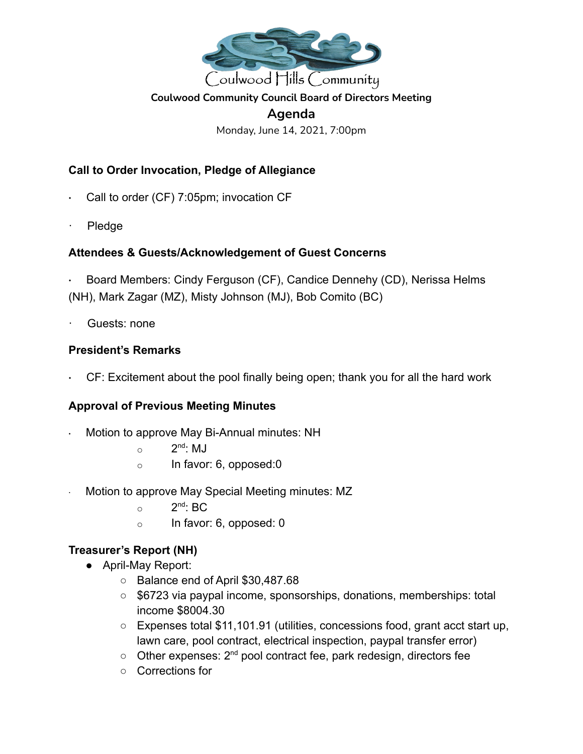

# **Coulwood Community Council Board of Directors Meeting**

# **Agenda**

Monday, June 14, 2021, 7:00pm

### **Call to Order Invocation, Pledge of Allegiance**

- **·** Call to order (CF) 7:05pm; invocation CF
- · Pledge

#### **Attendees & Guests/Acknowledgement of Guest Concerns**

**·** Board Members: Cindy Ferguson (CF), Candice Dennehy (CD), Nerissa Helms (NH), Mark Zagar (MZ), Misty Johnson (MJ), Bob Comito (BC)

Guests: none

#### **President's Remarks**

**·** CF: Excitement about the pool finally being open; thank you for all the hard work

## **Approval of Previous Meeting Minutes**

- **·** Motion to approve May Bi-Annual minutes: NH
	- $\circ$  2<sup>nd</sup>: MJ
	- o In favor: 6, opposed:0
- Motion to approve May Special Meeting minutes: MZ
	- $\circ$  2<sup>nd</sup>: BC
	- o In favor: 6, opposed: 0

#### **Treasurer's Report (NH)**

- April-May Report:
	- Balance end of April \$30,487.68
	- \$6723 via paypal income, sponsorships, donations, memberships: total income \$8004.30
	- Expenses total \$11,101.91 (utilities, concessions food, grant acct start up, lawn care, pool contract, electrical inspection, paypal transfer error)
	- $\circ$  Other expenses:  $2^{nd}$  pool contract fee, park redesign, directors fee
	- Corrections for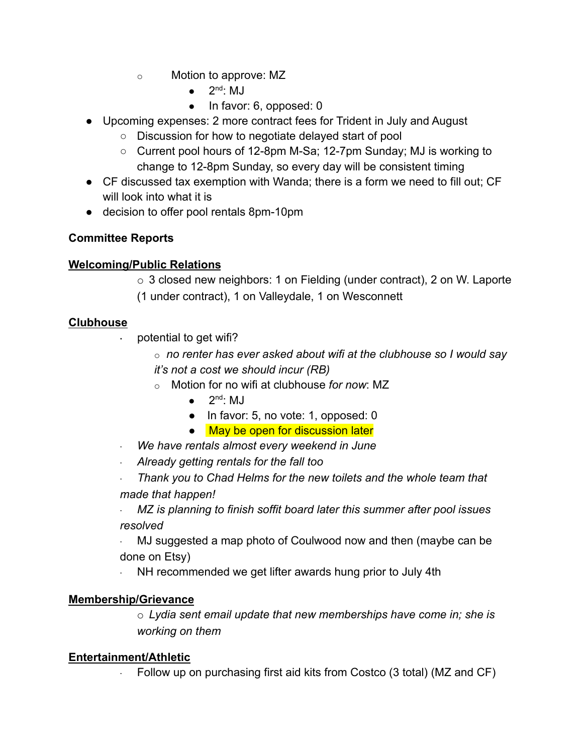- o Motion to approve: MZ
	- $\bullet$  2<sup>nd</sup>: MJ
	- In favor: 6, opposed: 0
- Upcoming expenses: 2 more contract fees for Trident in July and August
	- Discussion for how to negotiate delayed start of pool
	- Current pool hours of 12-8pm M-Sa; 12-7pm Sunday; MJ is working to change to 12-8pm Sunday, so every day will be consistent timing
- CF discussed tax exemption with Wanda; there is a form we need to fill out; CF will look into what it is
- decision to offer pool rentals 8pm-10pm

### **Committee Reports**

#### **Welcoming/Public Relations**

 $\circ$  3 closed new neighbors: 1 on Fielding (under contract), 2 on W. Laporte (1 under contract), 1 on Valleydale, 1 on Wesconnett

#### **Clubhouse**

**·** potential to get wifi?

o *no renter has ever asked about wifi at the clubhouse so I would say it's not a cost we should incur (RB)*

- o Motion for no wifi at clubhouse *for now*: MZ
	- $\bullet$  2<sup>nd</sup>: MJ
	- In favor: 5, no vote: 1, opposed: 0
	- May be open for discussion later
- · *We have rentals almost every weekend in June*
- · *Already getting rentals for the fall too*
- · *Thank you to Chad Helms for the new toilets and the whole team that made that happen!*

· *MZ is planning to finish soffit board later this summer after pool issues resolved*

MJ suggested a map photo of Coulwood now and then (maybe can be done on Etsy)

· NH recommended we get lifter awards hung prior to July 4th

#### **Membership/Grievance**

o *Lydia sent email update that new memberships have come in; she is working on them*

#### **Entertainment/Athletic**

Follow up on purchasing first aid kits from Costco (3 total) (MZ and CF)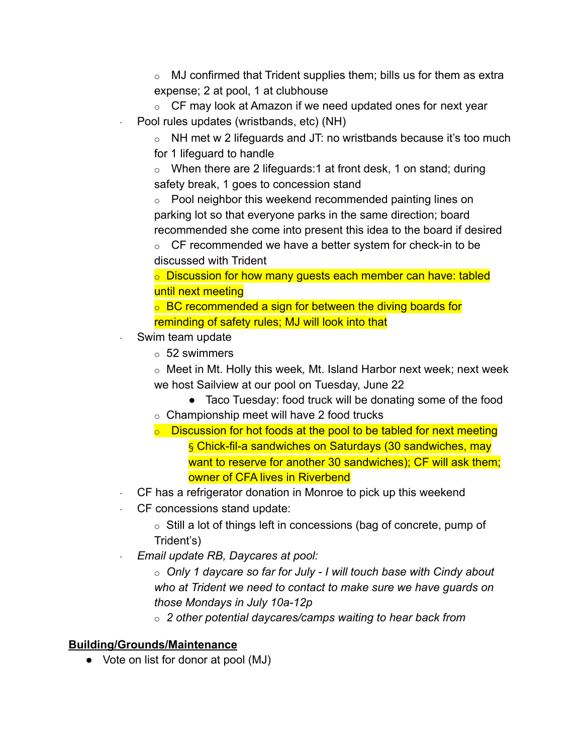o MJ confirmed that Trident supplies them; bills us for them as extra expense; 2 at pool, 1 at clubhouse

 $\circ$  CF may look at Amazon if we need updated ones for next year Pool rules updates (wristbands, etc) (NH)

 $\circ$  NH met w 2 lifeguards and JT: no wristbands because it's too much for 1 lifeguard to handle

 $\circ$  When there are 2 lifeguards: 1 at front desk, 1 on stand; during safety break, 1 goes to concession stand

o Pool neighbor this weekend recommended painting lines on parking lot so that everyone parks in the same direction; board recommended she come into present this idea to the board if desired

 $\circ$  CF recommended we have a better system for check-in to be discussed with Trident

o Discussion for how many guests each member can have: tabled until next meeting

o BC recommended a sign for between the diving boards for reminding of safety rules; MJ will look into that

- Swim team update
	- o 52 swimmers

o Meet in Mt. Holly this week*,* Mt. Island Harbor next week; next week we host Sailview at our pool on Tuesday, June 22

- Taco Tuesday: food truck will be donating some of the food  $\circ$  Championship meet will have 2 food trucks
- $\circ$  Discussion for hot foods at the pool to be tabled for next meeting § Chick-fil-a sandwiches on Saturdays (30 sandwiches, may want to reserve for another 30 sandwiches); CF will ask them; owner of CFA lives in Riverbend
- · CF has a refrigerator donation in Monroe to pick up this weekend
- · CF concessions stand update:

 $\circ$  Still a lot of things left in concessions (bag of concrete, pump of Trident's)

· *Email update RB, Daycares at pool:*

o *Only 1 daycare so far for July - I will touch base with Cindy about who at Trident we need to contact to make sure we have guards on those Mondays in July 10a-12p*

o *2 other potential daycares/camps waiting to hear back from*

## **Building/Grounds/Maintenance**

● Vote on list for donor at pool (MJ)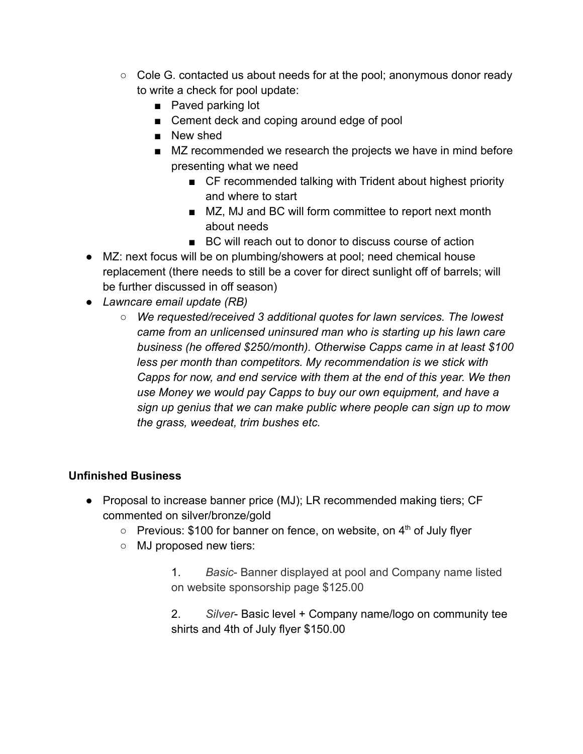- $\circ$  Cole G. contacted us about needs for at the pool; anonymous donor ready to write a check for pool update:
	- Paved parking lot
	- Cement deck and coping around edge of pool
	- New shed
	- MZ recommended we research the projects we have in mind before presenting what we need
		- CF recommended talking with Trident about highest priority and where to start
		- MZ, MJ and BC will form committee to report next month about needs
		- BC will reach out to donor to discuss course of action
- MZ: next focus will be on plumbing/showers at pool; need chemical house replacement (there needs to still be a cover for direct sunlight off of barrels; will be further discussed in off season)
- *Lawncare email update (RB)*
	- *We requested/received 3 additional quotes for lawn services. The lowest came from an unlicensed uninsured man who is starting up his lawn care business (he offered \$250/month). Otherwise Capps came in at least \$100 less per month than competitors. My recommendation is we stick with Capps for now, and end service with them at the end of this year. We then use Money we would pay Capps to buy our own equipment, and have a sign up genius that we can make public where people can sign up to mow the grass, weedeat, trim bushes etc.*

## **Unfinished Business**

- Proposal to increase banner price (MJ); LR recommended making tiers; CF commented on silver/bronze/gold
	- $\circ$  Previous: \$100 for banner on fence, on website, on 4<sup>th</sup> of July flyer
	- MJ proposed new tiers:

1. *Basic*- Banner displayed at pool and Company name listed on website sponsorship page \$125.00

2. *Silver*- Basic level + Company name/logo on community tee shirts and 4th of July flyer \$150.00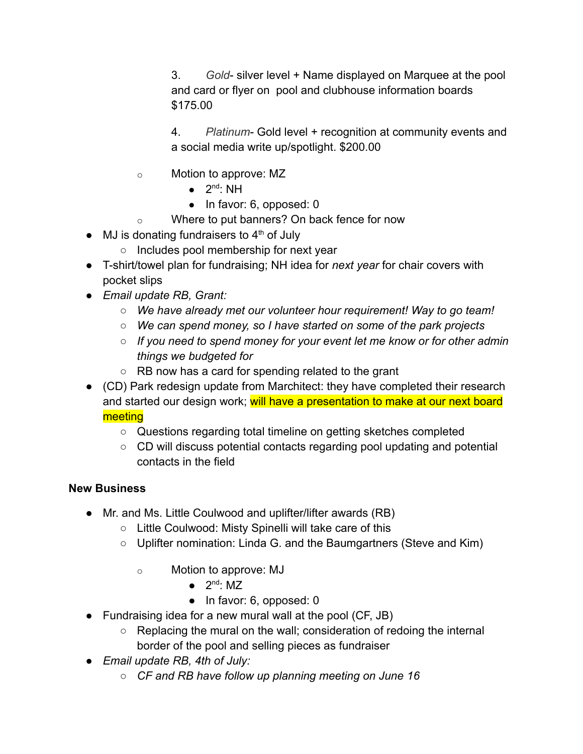3. *Gold*- silver level + Name displayed on Marquee at the pool and card or flyer on pool and clubhouse information boards \$175.00

4. *Platinum*- Gold level + recognition at community events and a social media write up/spotlight. \$200.00

- o Motion to approve: MZ
	- $\bullet$  2<sup>nd</sup>: NH
	- In favor: 6, opposed: 0
	- Where to put banners? On back fence for now
- $\bullet$  MJ is donating fundraisers to  $4<sup>th</sup>$  of July
	- Includes pool membership for next year
- T-shirt/towel plan for fundraising; NH idea for *next year* for chair covers with pocket slips
- *Email update RB, Grant:*
	- *We have already met our volunteer hour requirement! Way to go team!*
	- *We can spend money, so I have started on some of the park projects*
	- *If you need to spend money for your event let me know or for other admin things we budgeted for*
	- RB now has a card for spending related to the grant
- (CD) Park redesign update from Marchitect: they have completed their research and started our design work; will have a presentation to make at our next board meeting
	- Questions regarding total timeline on getting sketches completed
	- CD will discuss potential contacts regarding pool updating and potential contacts in the field

#### **New Business**

- Mr. and Ms. Little Coulwood and uplifter/lifter awards (RB)
	- Little Coulwood: Misty Spinelli will take care of this
	- Uplifter nomination: Linda G. and the Baumgartners (Steve and Kim)
		- o Motion to approve: MJ
			- $\bullet$  2<sup>nd</sup>: MZ
			- In favor: 6, opposed: 0
- Fundraising idea for a new mural wall at the pool (CF, JB)
	- Replacing the mural on the wall; consideration of redoing the internal border of the pool and selling pieces as fundraiser
- *Email update RB, 4th of July:*
	- *CF and RB have follow up planning meeting on June 16*